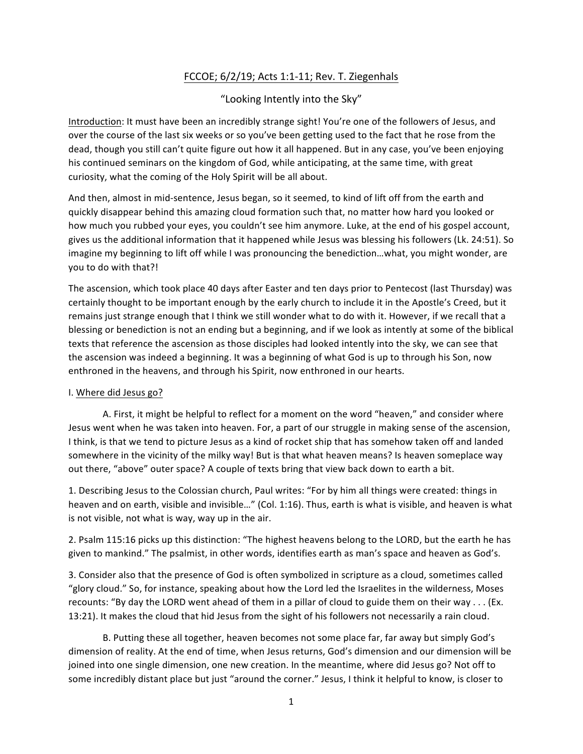## FCCOE;  $6/2/19$ ; Acts 1:1-11; Rev. T. Ziegenhals

"Looking Intently into the Sky"

Introduction: It must have been an incredibly strange sight! You're one of the followers of Jesus, and over the course of the last six weeks or so you've been getting used to the fact that he rose from the dead, though you still can't quite figure out how it all happened. But in any case, you've been enjoying his continued seminars on the kingdom of God, while anticipating, at the same time, with great curiosity, what the coming of the Holy Spirit will be all about.

And then, almost in mid-sentence, Jesus began, so it seemed, to kind of lift off from the earth and quickly disappear behind this amazing cloud formation such that, no matter how hard you looked or how much you rubbed your eyes, you couldn't see him anymore. Luke, at the end of his gospel account, gives us the additional information that it happened while Jesus was blessing his followers (Lk. 24:51). So imagine my beginning to lift off while I was pronouncing the benediction...what, you might wonder, are you to do with that?!

The ascension, which took place 40 days after Easter and ten days prior to Pentecost (last Thursday) was certainly thought to be important enough by the early church to include it in the Apostle's Creed, but it remains just strange enough that I think we still wonder what to do with it. However, if we recall that a blessing or benediction is not an ending but a beginning, and if we look as intently at some of the biblical texts that reference the ascension as those disciples had looked intently into the sky, we can see that the ascension was indeed a beginning. It was a beginning of what God is up to through his Son, now enthroned in the heavens, and through his Spirit, now enthroned in our hearts.

## I. Where did Jesus go?

A. First, it might be helpful to reflect for a moment on the word "heaven," and consider where Jesus went when he was taken into heaven. For, a part of our struggle in making sense of the ascension, I think, is that we tend to picture Jesus as a kind of rocket ship that has somehow taken off and landed somewhere in the vicinity of the milky way! But is that what heaven means? Is heaven someplace way out there, "above" outer space? A couple of texts bring that view back down to earth a bit.

1. Describing Jesus to the Colossian church, Paul writes: "For by him all things were created: things in heaven and on earth, visible and invisible..." (Col. 1:16). Thus, earth is what is visible, and heaven is what is not visible, not what is way, way up in the air.

2. Psalm 115:16 picks up this distinction: "The highest heavens belong to the LORD, but the earth he has given to mankind." The psalmist, in other words, identifies earth as man's space and heaven as God's.

3. Consider also that the presence of God is often symbolized in scripture as a cloud, sometimes called "glory cloud." So, for instance, speaking about how the Lord led the Israelites in the wilderness, Moses recounts: "By day the LORD went ahead of them in a pillar of cloud to guide them on their way . . . (Ex. 13:21). It makes the cloud that hid Jesus from the sight of his followers not necessarily a rain cloud.

B. Putting these all together, heaven becomes not some place far, far away but simply God's dimension of reality. At the end of time, when Jesus returns, God's dimension and our dimension will be joined into one single dimension, one new creation. In the meantime, where did Jesus go? Not off to some incredibly distant place but just "around the corner." Jesus, I think it helpful to know, is closer to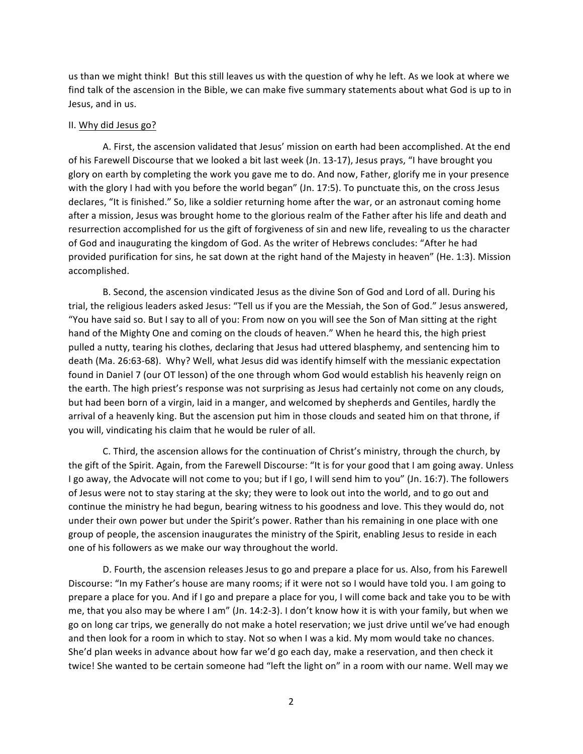us than we might think! But this still leaves us with the question of why he left. As we look at where we find talk of the ascension in the Bible, we can make five summary statements about what God is up to in Jesus, and in us.

## II. Why did Jesus go?

A. First, the ascension validated that Jesus' mission on earth had been accomplished. At the end of his Farewell Discourse that we looked a bit last week (Jn. 13-17), Jesus prays, "I have brought you glory on earth by completing the work you gave me to do. And now, Father, glorify me in your presence with the glory I had with you before the world began" (Jn. 17:5). To punctuate this, on the cross Jesus declares, "It is finished." So, like a soldier returning home after the war, or an astronaut coming home after a mission, Jesus was brought home to the glorious realm of the Father after his life and death and resurrection accomplished for us the gift of forgiveness of sin and new life, revealing to us the character of God and inaugurating the kingdom of God. As the writer of Hebrews concludes: "After he had provided purification for sins, he sat down at the right hand of the Majesty in heaven" (He. 1:3). Mission accomplished.

B. Second, the ascension vindicated Jesus as the divine Son of God and Lord of all. During his trial, the religious leaders asked Jesus: "Tell us if you are the Messiah, the Son of God." Jesus answered, "You have said so. But I say to all of you: From now on you will see the Son of Man sitting at the right hand of the Mighty One and coming on the clouds of heaven." When he heard this, the high priest pulled a nutty, tearing his clothes, declaring that Jesus had uttered blasphemy, and sentencing him to death (Ma. 26:63-68). Why? Well, what Jesus did was identify himself with the messianic expectation found in Daniel 7 (our OT lesson) of the one through whom God would establish his heavenly reign on the earth. The high priest's response was not surprising as Jesus had certainly not come on any clouds, but had been born of a virgin, laid in a manger, and welcomed by shepherds and Gentiles, hardly the arrival of a heavenly king. But the ascension put him in those clouds and seated him on that throne, if you will, vindicating his claim that he would be ruler of all.

C. Third, the ascension allows for the continuation of Christ's ministry, through the church, by the gift of the Spirit. Again, from the Farewell Discourse: "It is for your good that I am going away. Unless I go away, the Advocate will not come to you; but if I go, I will send him to you" (Jn. 16:7). The followers of Jesus were not to stay staring at the sky; they were to look out into the world, and to go out and continue the ministry he had begun, bearing witness to his goodness and love. This they would do, not under their own power but under the Spirit's power. Rather than his remaining in one place with one group of people, the ascension inaugurates the ministry of the Spirit, enabling Jesus to reside in each one of his followers as we make our way throughout the world.

D. Fourth, the ascension releases Jesus to go and prepare a place for us. Also, from his Farewell Discourse: "In my Father's house are many rooms; if it were not so I would have told you. I am going to prepare a place for you. And if I go and prepare a place for you, I will come back and take you to be with me, that you also may be where I am" (Jn. 14:2-3). I don't know how it is with your family, but when we go on long car trips, we generally do not make a hotel reservation; we just drive until we've had enough and then look for a room in which to stay. Not so when I was a kid. My mom would take no chances. She'd plan weeks in advance about how far we'd go each day, make a reservation, and then check it twice! She wanted to be certain someone had "left the light on" in a room with our name. Well may we